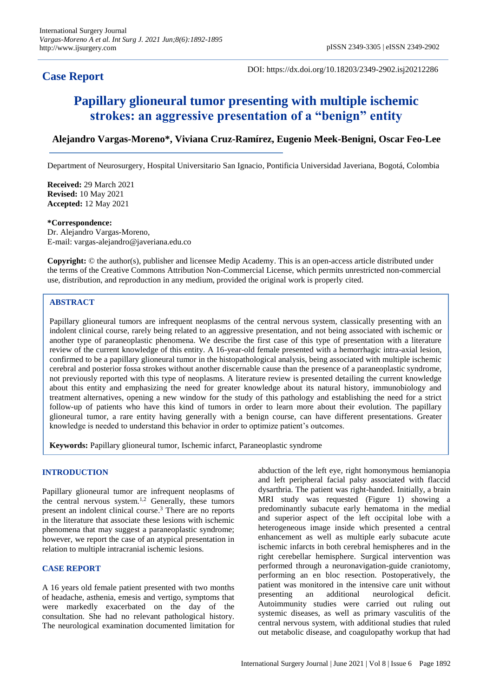## **Case Report**

DOI: https://dx.doi.org/10.18203/2349-2902.isj20212286

# **Papillary glioneural tumor presenting with multiple ischemic strokes: an aggressive presentation of a "benign" entity**

### **Alejandro Vargas-Moreno\*, Viviana Cruz-Ramírez, Eugenio Meek-Benigni, Oscar Feo-Lee**

Department of Neurosurgery, Hospital Universitario San Ignacio, Pontificia Universidad Javeriana, Bogotá, Colombia

**Received:** 29 March 2021 **Revised:** 10 May 2021 **Accepted:** 12 May 2021

#### **\*Correspondence:**

Dr. Alejandro Vargas-Moreno, E-mail: vargas-alejandro@javeriana.edu.co

**Copyright:** © the author(s), publisher and licensee Medip Academy. This is an open-access article distributed under the terms of the Creative Commons Attribution Non-Commercial License, which permits unrestricted non-commercial use, distribution, and reproduction in any medium, provided the original work is properly cited.

#### **ABSTRACT**

Papillary glioneural tumors are infrequent neoplasms of the central nervous system, classically presenting with an indolent clinical course, rarely being related to an aggressive presentation, and not being associated with ischemic or another type of paraneoplastic phenomena. We describe the first case of this type of presentation with a literature review of the current knowledge of this entity. A 16-year-old female presented with a hemorrhagic intra-axial lesion, confirmed to be a papillary glioneural tumor in the histopathological analysis, being associated with multiple ischemic cerebral and posterior fossa strokes without another discernable cause than the presence of a paraneoplastic syndrome, not previously reported with this type of neoplasms. A literature review is presented detailing the current knowledge about this entity and emphasizing the need for greater knowledge about its natural history, immunobiology and treatment alternatives, opening a new window for the study of this pathology and establishing the need for a strict follow-up of patients who have this kind of tumors in order to learn more about their evolution. The papillary glioneural tumor, a rare entity having generally with a benign course, can have different presentations. Greater knowledge is needed to understand this behavior in order to optimize patient's outcomes.

**Keywords:** Papillary glioneural tumor, Ischemic infarct, Paraneoplastic syndrome

#### **INTRODUCTION**

Papillary glioneural tumor are infrequent neoplasms of the central nervous system.<sup>1,2</sup> Generally, these tumors present an indolent clinical course. <sup>3</sup> There are no reports in the literature that associate these lesions with ischemic phenomena that may suggest a paraneoplastic syndrome; however, we report the case of an atypical presentation in relation to multiple intracranial ischemic lesions.

#### **CASE REPORT**

A 16 years old female patient presented with two months of headache, asthenia, emesis and vertigo, symptoms that were markedly exacerbated on the day of the consultation. She had no relevant pathological history. The neurological examination documented limitation for abduction of the left eye, right homonymous hemianopia and left peripheral facial palsy associated with flaccid dysarthria. The patient was right-handed. Initially, a brain MRI study was requested (Figure 1) showing a predominantly subacute early hematoma in the medial and superior aspect of the left occipital lobe with a heterogeneous image inside which presented a central enhancement as well as multiple early subacute acute ischemic infarcts in both cerebral hemispheres and in the right cerebellar hemisphere. Surgical intervention was performed through a neuronavigation-guide craniotomy, performing an en bloc resection. Postoperatively, the patient was monitored in the intensive care unit without presenting an additional neurological deficit. Autoimmunity studies were carried out ruling out systemic diseases, as well as primary vasculitis of the central nervous system, with additional studies that ruled out metabolic disease, and coagulopathy workup that had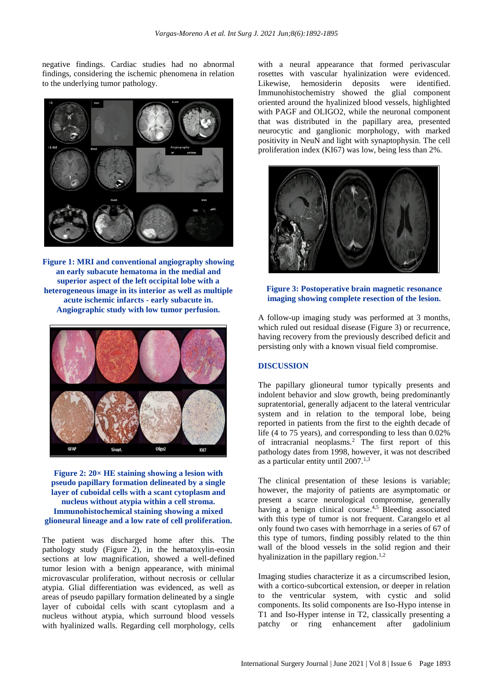negative findings. Cardiac studies had no abnormal findings, considering the ischemic phenomena in relation to the underlying tumor pathology.



**Figure 1: MRI and conventional angiography showing an early subacute hematoma in the medial and superior aspect of the left occipital lobe with a heterogeneous image in its interior as well as multiple acute ischemic infarcts - early subacute in. Angiographic study with low tumor perfusion.**



#### **Figure 2: 20× HE staining showing a lesion with pseudo papillary formation delineated by a single layer of cuboidal cells with a scant cytoplasm and nucleus without atypia within a cell stroma. Immunohistochemical staining showing a mixed glioneural lineage and a low rate of cell proliferation.**

The patient was discharged home after this. The pathology study (Figure 2), in the hematoxylin-eosin sections at low magnification, showed a well-defined tumor lesion with a benign appearance, with minimal microvascular proliferation, without necrosis or cellular atypia. Glial differentiation was evidenced, as well as areas of pseudo papillary formation delineated by a single layer of cuboidal cells with scant cytoplasm and a nucleus without atypia, which surround blood vessels with hyalinized walls. Regarding cell morphology, cells

with a neural appearance that formed perivascular rosettes with vascular hyalinization were evidenced. Likewise, hemosiderin deposits were identified. Immunohistochemistry showed the glial component oriented around the hyalinized blood vessels, highlighted with PAGF and OLIGO2, while the neuronal component that was distributed in the papillary area, presented neurocytic and ganglionic morphology, with marked positivity in NeuN and light with synaptophysin. The cell proliferation index (KI67) was low, being less than 2%.



#### **Figure 3: Postoperative brain magnetic resonance imaging showing complete resection of the lesion.**

A follow-up imaging study was performed at 3 months, which ruled out residual disease (Figure 3) or recurrence, having recovery from the previously described deficit and persisting only with a known visual field compromise.

#### **DISCUSSION**

The papillary glioneural tumor typically presents and indolent behavior and slow growth, being predominantly supratentorial, generally adjacent to the lateral ventricular system and in relation to the temporal lobe, being reported in patients from the first to the eighth decade of life (4 to 75 years), and corresponding to less than 0.02% of intracranial neoplasms.<sup>2</sup> The first report of this pathology dates from 1998, however, it was not described as a particular entity until 2007.<sup>1,3</sup>

The clinical presentation of these lesions is variable; however, the majority of patients are asymptomatic or present a scarce neurological compromise, generally having a benign clinical course.<sup>4,5</sup> Bleeding associated with this type of tumor is not frequent. Carangelo et al only found two cases with hemorrhage in a series of 67 of this type of tumors, finding possibly related to the thin wall of the blood vessels in the solid region and their hyalinization in the papillary region.<sup>1,2</sup>

Imaging studies characterize it as a circumscribed lesion, with a cortico-subcortical extension, or deeper in relation to the ventricular system, with cystic and solid components. Its solid components are Iso-Hypo intense in T1 and Iso-Hyper intense in T2, classically presenting a patchy or ring enhancement after gadolinium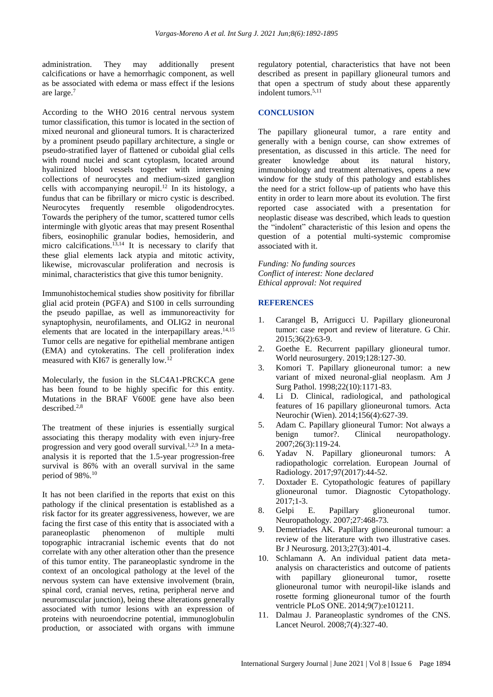administration. They may additionally present calcifications or have a hemorrhagic component, as well as be associated with edema or mass effect if the lesions are large. 7

According to the WHO 2016 central nervous system tumor classification, this tumor is located in the section of mixed neuronal and glioneural tumors. It is characterized by a prominent pseudo papillary architecture, a single or pseudo-stratified layer of flattened or cuboidal glial cells with round nuclei and scant cytoplasm, located around hyalinized blood vessels together with intervening collections of neurocytes and medium-sized ganglion cells with accompanying neuropil. <sup>12</sup> In its histology, a fundus that can be fibrillary or micro cystic is described. Neurocytes frequently resemble oligodendrocytes. Towards the periphery of the tumor, scattered tumor cells intermingle with glyotic areas that may present Rosenthal fibers, eosinophilic granular bodies, hemosiderin, and micro calcifications. 13,14 It is necessary to clarify that these glial elements lack atypia and mitotic activity, likewise, microvascular proliferation and necrosis is minimal, characteristics that give this tumor benignity.

Immunohistochemical studies show positivity for fibrillar glial acid protein (PGFA) and S100 in cells surrounding the pseudo papillae, as well as immunoreactivity for synaptophysin, neurofilaments, and OLIG2 in neuronal elements that are located in the interpapillary areas. 14,15 Tumor cells are negative for epithelial membrane antigen (EMA) and cytokeratins. The cell proliferation index measured with KI67 is generally low.<sup>12</sup>

Molecularly, the fusion in the SLC4A1-PRCKCA gene has been found to be highly specific for this entity. Mutations in the BRAF V600E gene have also been described. 2,8

The treatment of these injuries is essentially surgical associating this therapy modality with even injury-free progression and very good overall survival.<sup>1,2,9</sup> In a metaanalysis it is reported that the 1.5-year progression-free survival is 86% with an overall survival in the same period of 98%.<sup>10</sup>

It has not been clarified in the reports that exist on this pathology if the clinical presentation is established as a risk factor for its greater aggressiveness, however, we are facing the first case of this entity that is associated with a<br>paraneoplastic phenomenon of multiple multi paraneoplastic phenomenon of multiple multi topographic intracranial ischemic events that do not correlate with any other alteration other than the presence of this tumor entity. The paraneoplastic syndrome in the context of an oncological pathology at the level of the nervous system can have extensive involvement (brain, spinal cord, cranial nerves, retina, peripheral nerve and neuromuscular junction), being these alterations generally associated with tumor lesions with an expression of proteins with neuroendocrine potential, immunoglobulin production, or associated with organs with immune regulatory potential, characteristics that have not been described as present in papillary glioneural tumors and that open a spectrum of study about these apparently indolent tumors. 5,11

#### **CONCLUSION**

The papillary glioneural tumor, a rare entity and generally with a benign course, can show extremes of presentation, as discussed in this article. The need for greater knowledge about its natural history, immunobiology and treatment alternatives, opens a new window for the study of this pathology and establishes the need for a strict follow-up of patients who have this entity in order to learn more about its evolution. The first reported case associated with a presentation for neoplastic disease was described, which leads to question the "indolent" characteristic of this lesion and opens the question of a potential multi-systemic compromise associated with it.

*Funding: No funding sources Conflict of interest: None declared Ethical approval: Not required*

#### **REFERENCES**

- 1. Carangel B, Arrigucci U. Papillary glioneuronal tumor: case report and review of literature. G Chir. 2015;36(2):63-9.
- 2. Goethe E. Recurrent papillary glioneural tumor. World neurosurgery. 2019;128:127-30.
- 3. Komori T. Papillary glioneuronal tumor: a new variant of mixed neuronal-glial neoplasm. Am J Surg Pathol. 1998;22(10):1171-83.
- 4. Li D. Clinical, radiological, and pathological features of 16 papillary glioneuronal tumors. Acta Neurochir (Wien). 2014;156(4):627-39.
- 5. Adam C. Papillary glioneural Tumor: Not always a benign tumor?. Clinical neuropathology. 2007;26(3):119-24.
- 6. Yadav N. Papillary glioneuronal tumors: A radiopathologic correlation. European Journal of Radiology. 2017;97(2017):44-52.
- 7. Doxtader E. Cytopathologic features of papillary glioneuronal tumor. Diagnostic Cytopathology. 2017;1-3.
- 8. Gelpi E. Papillary glioneuronal tumor. Neuropathology. 2007;27:468-73.
- 9. Demetriades AK. Papillary glioneuronal tumour: a review of the literature with two illustrative cases. Br J Neurosurg. 2013;27(3):401-4.
- 10. Schlamann A. An individual patient data metaanalysis on characteristics and outcome of patients with papillary glioneuronal tumor, rosette glioneuronal tumor with neuropil-like islands and rosette forming glioneuronal tumor of the fourth ventricle PLoS ONE. 2014;9(7):e101211.
- 11. Dalmau J. Paraneoplastic syndromes of the CNS. Lancet Neurol. 2008;7(4):327-40.